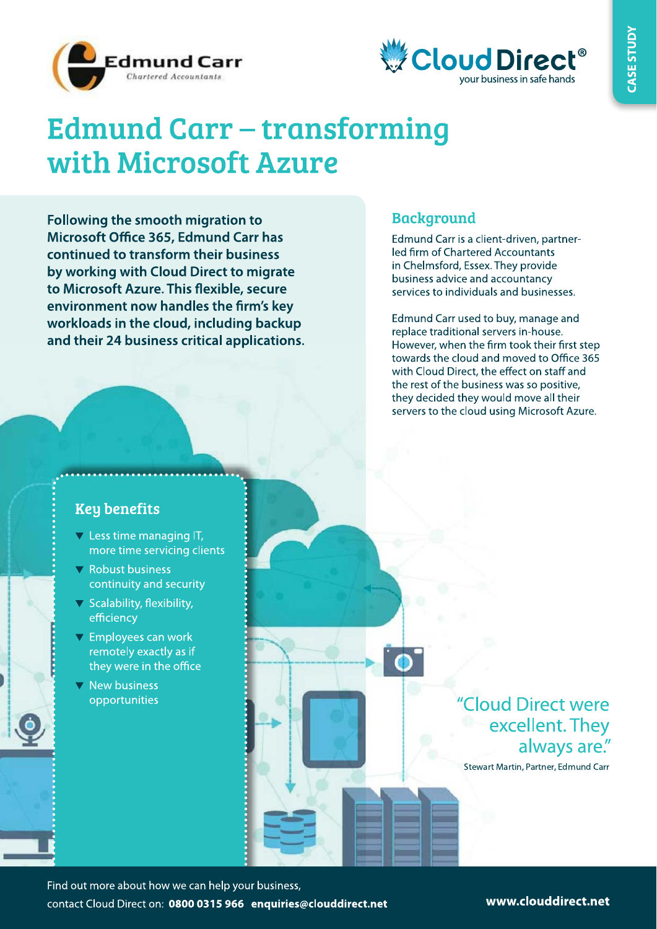



# **Edmund Carr – transforming** with Microsoft Azure

Following the smooth migration to Microsoft Office 365, Edmund Carr has continued to transform their business by working with Cloud Direct to migrate to Microsoft Azure. This flexible, secure environment now handles the firm's key workloads in the cloud, including backup and their 24 business critical applications.

### **Background**

Edmund Carr is a client-driven, partnerled firm of Chartered Accountants in Chelmsford, Essex. They provide business advice and accountancy services to individuals and businesses.

Edmund Carr used to buy, manage and replace traditional servers in-house. However, when the firm took their first step towards the cloud and moved to Office 365 with Cloud Direct, the effect on staff and the rest of the business was so positive. they decided they would move all their servers to the cloud using Microsoft Azure.

## **Key benefits**

- $\nabla$  Less time managing IT, more time servicing clients
- $\nabla$  Robust business continuity and security
- $\nabla$  Scalability, flexibility, efficiency
- $\nabla$  Employees can work remotely exactly as if they were in the office
- $\nabla$  New business opportunities

"Cloud Direct were excellent. They always are."

Stewart Martin, Partner, Edmund Carr

Find out more about how we can help your business, contact Cloud Direct on: 0800 0315 966 enquiries@clouddirect.net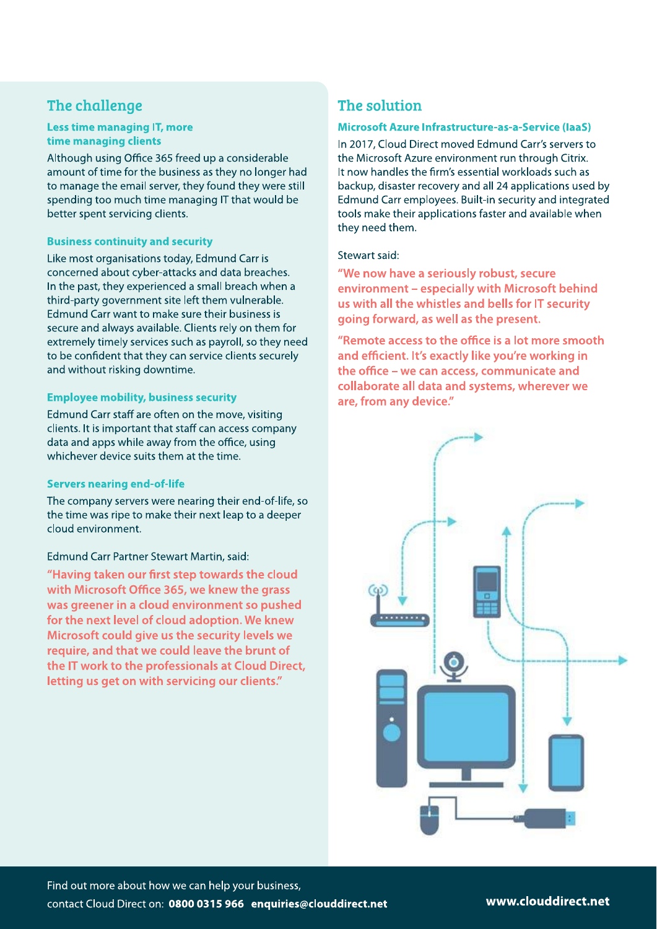### The challenge

#### **Less time managing IT, more** time managing clients

Although using Office 365 freed up a considerable amount of time for the business as they no longer had to manage the email server, they found they were still spending too much time managing IT that would be better spent servicing clients.

#### **Business continuity and security**

Like most organisations today, Edmund Carr is concerned about cyber-attacks and data breaches. In the past, they experienced a small breach when a third-party government site left them vulnerable. Edmund Carr want to make sure their business is secure and always available. Clients rely on them for extremely timely services such as payroll, so they need to be confident that they can service clients securely and without risking downtime.

#### **Employee mobility, business security**

Edmund Carr staff are often on the move, visiting clients. It is important that staff can access company data and apps while away from the office, using whichever device suits them at the time.

#### **Servers nearing end-of-life**

The company servers were nearing their end-of-life, so the time was ripe to make their next leap to a deeper cloud environment.

#### Edmund Carr Partner Stewart Martin, said:

"Having taken our first step towards the cloud with Microsoft Office 365, we knew the grass was greener in a cloud environment so pushed for the next level of cloud adoption. We knew Microsoft could give us the security levels we require, and that we could leave the brunt of the IT work to the professionals at Cloud Direct, letting us get on with servicing our clients."

### The solution

#### Microsoft Azure Infrastructure-as-a-Service (IaaS)

In 2017, Cloud Direct moved Edmund Carr's servers to the Microsoft Azure environment run through Citrix. It now handles the firm's essential workloads such as backup, disaster recovery and all 24 applications used by Edmund Carr employees. Built-in security and integrated tools make their applications faster and available when they need them.

#### Stewart said:

"We now have a seriously robust, secure environment - especially with Microsoft behind us with all the whistles and bells for IT security going forward, as well as the present.

"Remote access to the office is a lot more smooth and efficient. It's exactly like you're working in the office - we can access, communicate and collaborate all data and systems, wherever we are, from any device."

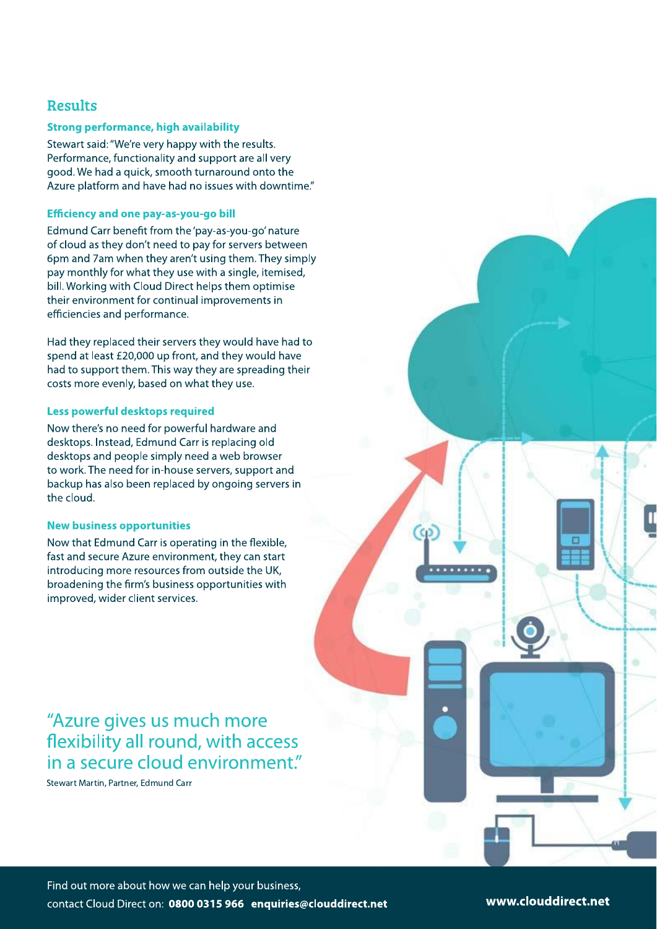### **Results**

#### **Strong performance, high availability**

Stewart said: "We're very happy with the results. Performance, functionality and support are all very good. We had a quick, smooth turnaround onto the Azure platform and have had no issues with downtime."

#### **Efficiency and one pay-as-you-go bill**

Edmund Carr benefit from the 'pay-as-you-go' nature of cloud as they don't need to pay for servers between 6pm and 7am when they aren't using them. They simply pay monthly for what they use with a single, itemised, bill. Working with Cloud Direct helps them optimise their environment for continual improvements in efficiencies and performance.

Had they replaced their servers they would have had to spend at least £20,000 up front, and they would have had to support them. This way they are spreading their costs more evenly, based on what they use.

#### Less powerful desktops required

Now there's no need for powerful hardware and desktops. Instead, Edmund Carr is replacing old desktops and people simply need a web browser to work. The need for in-house servers, support and backup has also been replaced by ongoing servers in the cloud.

#### **New business opportunities**

Now that Edmund Carr is operating in the flexible, fast and secure Azure environment, they can start introducing more resources from outside the UK, broadening the firm's business opportunities with improved, wider client services.

# "Azure gives us much more flexibility all round, with access in a secure cloud environment."

Stewart Martin, Partner, Edmund Carr

www.clouddirect.net